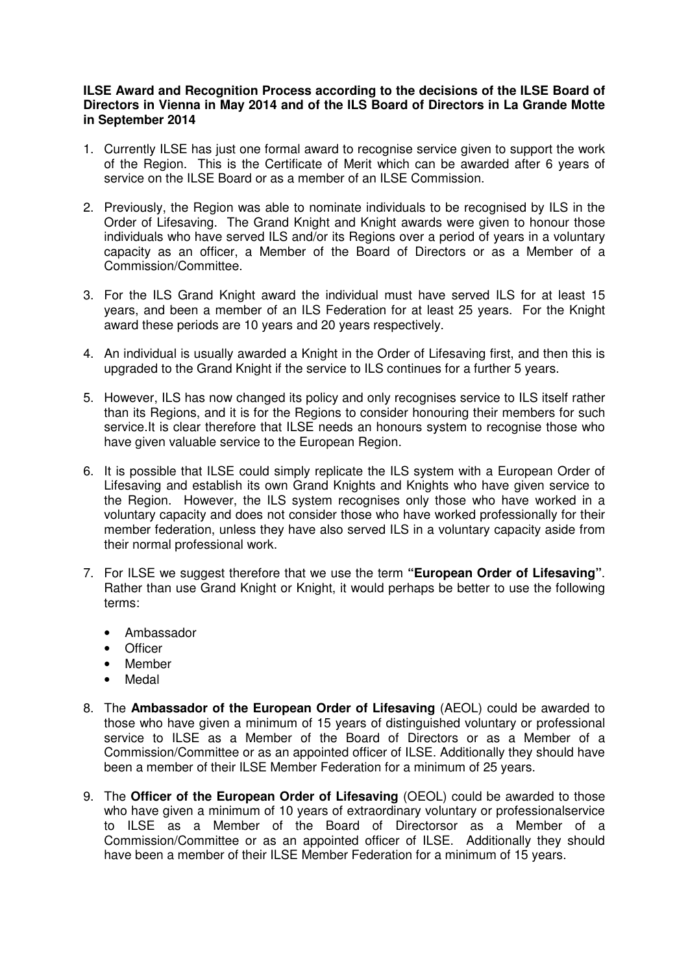## **ILSE Award and Recognition Process according to the decisions of the ILSE Board of Directors in Vienna in May 2014 and of the ILS Board of Directors in La Grande Motte in September 2014**

- 1. Currently ILSE has just one formal award to recognise service given to support the work of the Region. This is the Certificate of Merit which can be awarded after 6 years of service on the ILSE Board or as a member of an ILSE Commission.
- 2. Previously, the Region was able to nominate individuals to be recognised by ILS in the Order of Lifesaving. The Grand Knight and Knight awards were given to honour those individuals who have served ILS and/or its Regions over a period of years in a voluntary capacity as an officer, a Member of the Board of Directors or as a Member of a Commission/Committee.
- 3. For the ILS Grand Knight award the individual must have served ILS for at least 15 years, and been a member of an ILS Federation for at least 25 years. For the Knight award these periods are 10 years and 20 years respectively.
- 4. An individual is usually awarded a Knight in the Order of Lifesaving first, and then this is upgraded to the Grand Knight if the service to ILS continues for a further 5 years.
- 5. However, ILS has now changed its policy and only recognises service to ILS itself rather than its Regions, and it is for the Regions to consider honouring their members for such service.It is clear therefore that ILSE needs an honours system to recognise those who have given valuable service to the European Region.
- 6. It is possible that ILSE could simply replicate the ILS system with a European Order of Lifesaving and establish its own Grand Knights and Knights who have given service to the Region. However, the ILS system recognises only those who have worked in a voluntary capacity and does not consider those who have worked professionally for their member federation, unless they have also served ILS in a voluntary capacity aside from their normal professional work.
- 7. For ILSE we suggest therefore that we use the term **"European Order of Lifesaving"**. Rather than use Grand Knight or Knight, it would perhaps be better to use the following terms:
	- Ambassador
	- Officer
	- Member
	- Medal
- 8. The **Ambassador of the European Order of Lifesaving** (AEOL) could be awarded to those who have given a minimum of 15 years of distinguished voluntary or professional service to ILSE as a Member of the Board of Directors or as a Member of a Commission/Committee or as an appointed officer of ILSE. Additionally they should have been a member of their ILSE Member Federation for a minimum of 25 years.
- 9. The **Officer of the European Order of Lifesaving** (OEOL) could be awarded to those who have given a minimum of 10 years of extraordinary voluntary or professionalservice to ILSE as a Member of the Board of Directorsor as a Member of a Commission/Committee or as an appointed officer of ILSE. Additionally they should have been a member of their ILSE Member Federation for a minimum of 15 years.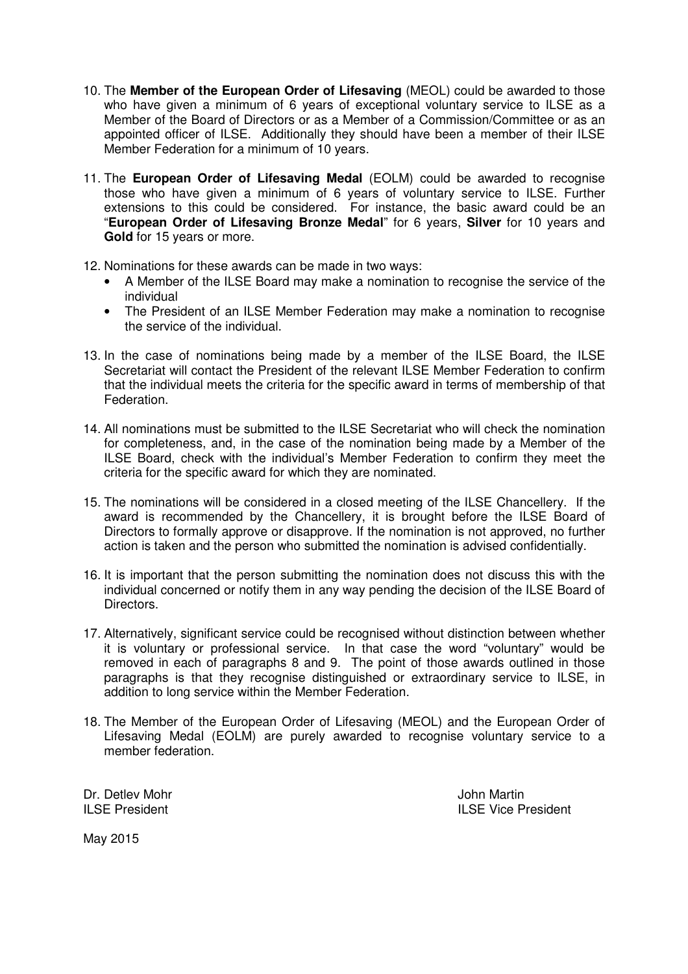- 10. The **Member of the European Order of Lifesaving** (MEOL) could be awarded to those who have given a minimum of 6 years of exceptional voluntary service to ILSE as a Member of the Board of Directors or as a Member of a Commission/Committee or as an appointed officer of ILSE. Additionally they should have been a member of their ILSE Member Federation for a minimum of 10 years.
- 11. The **European Order of Lifesaving Medal** (EOLM) could be awarded to recognise those who have given a minimum of 6 years of voluntary service to ILSE. Further extensions to this could be considered. For instance, the basic award could be an "**European Order of Lifesaving Bronze Medal**" for 6 years, **Silver** for 10 years and **Gold** for 15 years or more.
- 12. Nominations for these awards can be made in two ways:
	- A Member of the ILSE Board may make a nomination to recognise the service of the individual
	- The President of an ILSE Member Federation may make a nomination to recognise the service of the individual.
- 13. In the case of nominations being made by a member of the ILSE Board, the ILSE Secretariat will contact the President of the relevant ILSE Member Federation to confirm that the individual meets the criteria for the specific award in terms of membership of that Federation.
- 14. All nominations must be submitted to the ILSE Secretariat who will check the nomination for completeness, and, in the case of the nomination being made by a Member of the ILSE Board, check with the individual's Member Federation to confirm they meet the criteria for the specific award for which they are nominated.
- 15. The nominations will be considered in a closed meeting of the ILSE Chancellery. If the award is recommended by the Chancellery, it is brought before the ILSE Board of Directors to formally approve or disapprove. If the nomination is not approved, no further action is taken and the person who submitted the nomination is advised confidentially.
- 16. It is important that the person submitting the nomination does not discuss this with the individual concerned or notify them in any way pending the decision of the ILSE Board of Directors.
- 17. Alternatively, significant service could be recognised without distinction between whether it is voluntary or professional service. In that case the word "voluntary" would be removed in each of paragraphs 8 and 9. The point of those awards outlined in those paragraphs is that they recognise distinguished or extraordinary service to ILSE, in addition to long service within the Member Federation.
- 18. The Member of the European Order of Lifesaving (MEOL) and the European Order of Lifesaving Medal (EOLM) are purely awarded to recognise voluntary service to a member federation.

Dr. Detlev Mohr John Martin

ILSE President ILSE Vice President

May 2015